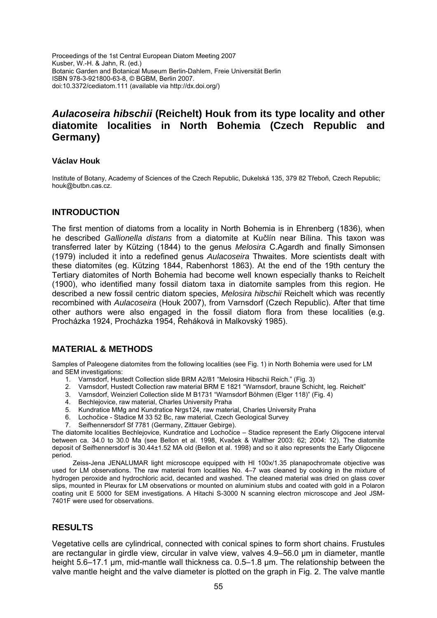Proceedings of the 1st Central European Diatom Meeting 2007 Kusber, W.-H. & Jahn, R. (ed.) Botanic Garden and Botanical Museum Berlin-Dahlem, Freie Universität Berlin ISBN 978-3-921800-63-8, © BGBM, Berlin 2007. doi:10.3372/cediatom.111 (available via http://dx.doi.org/)

# *Aulacoseira hibschii* **(Reichelt) Houk from its type locality and other diatomite localities in North Bohemia (Czech Republic and Germany)**

#### **Václav Houk**

Institute of Botany, Academy of Sciences of the Czech Republic, Dukelská 135, 379 82 Třeboň, Czech Republic; houk@butbn.cas.cz.

### **INTRODUCTION**

The first mention of diatoms from a locality in North Bohemia is in Ehrenberg (1836), when he described *Gallionella distans* from a diatomite at Kučlín near Bílina. This taxon was transferred later by Kützing (1844) to the genus *Melosira* C.Agardh and finally Simonsen (1979) included it into a redefined genus *Aulacoseira* Thwaites. More scientists dealt with these diatomites (eg. Kützing 1844, Rabenhorst 1863). At the end of the 19th century the Tertiary diatomites of North Bohemia had become well known especially thanks to Reichelt (1900), who identified many fossil diatom taxa in diatomite samples from this region. He described a new fossil centric diatom species, *Melosira hibschii* Reichelt which was recently recombined with *Aulacoseira* (Houk 2007), from Varnsdorf (Czech Republic). After that time other authors were also engaged in the fossil diatom flora from these localities (e.g. Procházka 1924, Procházka 1954, Řeháková in Malkovský 1985).

# **MATERIAL & METHODS**

Samples of Paleogene diatomites from the following localities (see Fig. 1) in North Bohemia were used for LM and SEM investigations:

- 1. Varnsdorf, Hustedt Collection slide BRM A2/81 "Melosira Hibschii Reich." (Fig. 3)
- 2. Varnsdorf, Hustedt Collection raw material BRM E 1821 "Warnsdorf, braune Schicht, leg. Reichelt"
- 3. Varnsdorf, Weinzierl Collection slide M B1731 "Warnsdorf Böhmen (Elger 118)" (Fig. 4)
- 4. Bechlejovice, raw material, Charles University Praha
- 5. Kundratice MMg and Kundratice Nrgs124, raw material, Charles University Praha
- 6. Lochočice Stadice M 33 52 Bc, raw material, Czech Geological Survey
- 7. Seifhennersdorf Sf 7781 (Germany, Zittauer Gebirge).

The diatomite localities Bechlejovice, Kundratice and Lochočice – Stadice represent the Early Oligocene interval between ca. 34.0 to 30.0 Ma (see Bellon et al. 1998, Kvaček & Walther 2003: 62; 2004: 12). The diatomite deposit of Seifhennersdorf is 30.44±1.52 MA old (Bellon et al. 1998) and so it also represents the Early Oligocene period.

Zeiss-Jena JENALUMAR light microscope equipped with HI 100x/1.35 planapochromate objective was used for LM observations. The raw material from localities No. 4–7 was cleaned by cooking in the mixture of hydrogen peroxide and hydrochloric acid, decanted and washed. The cleaned material was dried on glass cover slips, mounted in Pleurax for LM observations or mounted on aluminium stubs and coated with gold in a Polaron coating unit E 5000 for SEM investigations. A Hitachi S-3000 N scanning electron microscope and Jeol JSM-7401F were used for observations.

# **RESULTS**

Vegetative cells are cylindrical, connected with conical spines to form short chains. Frustules are rectangular in girdle view, circular in valve view, valves 4.9–56.0 µm in diameter, mantle height 5.6–17.1 µm, mid-mantle wall thickness ca. 0.5–1.8 µm. The relationship between the valve mantle height and the valve diameter is plotted on the graph in Fig. 2. The valve mantle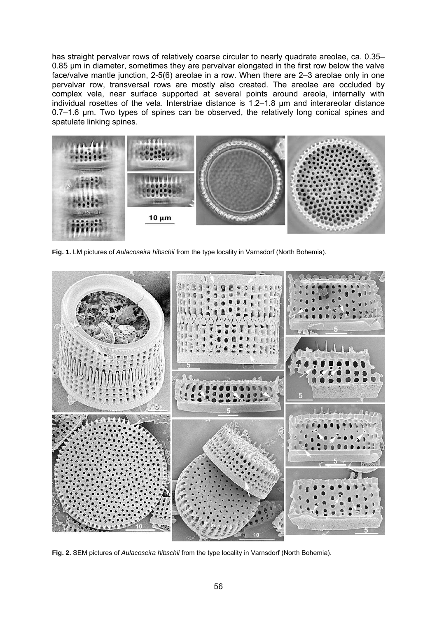has straight pervalvar rows of relatively coarse circular to nearly quadrate areolae, ca. 0.35– 0.85 µm in diameter, sometimes they are pervalvar elongated in the first row below the valve face/valve mantle junction, 2-5(6) areolae in a row. When there are 2–3 areolae only in one pervalvar row, transversal rows are mostly also created. The areolae are occluded by complex vela, near surface supported at several points around areola, internally with individual rosettes of the vela. Interstriae distance is 1.2–1.8 μm and interareolar distance 0.7–1.6 μm. Two types of spines can be observed, the relatively long conical spines and spatulate linking spines.



**Fig. 1.** LM pictures of *Aulacoseira hibschii* from the type locality in Varnsdorf (North Bohemia).



**Fig. 2.** SEM pictures of *Aulacoseira hibschii* from the type locality in Varnsdorf (North Bohemia).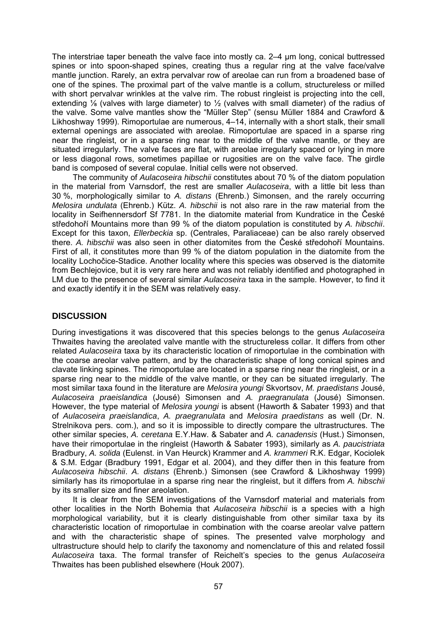The interstriae taper beneath the valve face into mostly ca. 2–4 μm long, conical buttressed spines or into spoon-shaped spines, creating thus a regular ring at the valve face/valve mantle junction. Rarely, an extra pervalvar row of areolae can run from a broadened base of one of the spines. The proximal part of the valve mantle is a collum, structureless or milled with short pervalvar wrinkles at the valve rim. The robust ringleist is projecting into the cell, extending  $\frac{1}{8}$  (valves with large diameter) to  $\frac{1}{2}$  (valves with small diameter) of the radius of the valve. Some valve mantles show the "Müller Step" (sensu Müller 1884 and Crawford & Likhoshway 1999). Rimoportulae are numerous, 4–14, internally with a short stalk, their small external openings are associated with areolae. Rimoportulae are spaced in a sparse ring near the ringleist, or in a sparse ring near to the middle of the valve mantle, or they are situated irregularly. The valve faces are flat, with areolae irregularly spaced or lying in more or less diagonal rows, sometimes papillae or rugosities are on the valve face. The girdle band is composed of several copulae. Initial cells were not observed.

The community of *Aulacoseira hibschii* constitutes about 70 % of the diatom population in the material from Varnsdorf, the rest are smaller *Aulacoseira*, with a little bit less than 30 %, morphologically similar to *A. distans* (Ehrenb.) Simonsen, and the rarely occurring *Melosira undulata* (Ehrenb.) Kütz. *A. hibschii* is not also rare in the raw material from the locality in Seifhennersdorf Sf 7781. In the diatomite material from Kundratice in the České středohoří Mountains more than 99 % of the diatom population is constituted by *A. hibschii*. Except for this taxon, *Ellerbeckia* sp. (Centrales, Paraliaceae) can be also rarely observed there. *A. hibschii* was also seen in other diatomites from the České středohoří Mountains. First of all, it constitutes more than 99 % of the diatom population in the diatomite from the locality Lochočice-Stadice. Another locality where this species was observed is the diatomite from Bechlejovice, but it is very rare here and was not reliably identified and photographed in LM due to the presence of several similar *Aulacoseira* taxa in the sample. However, to find it and exactly identify it in the SEM was relatively easy.

# **DISCUSSION**

During investigations it was discovered that this species belongs to the genus *Aulacoseira* Thwaites having the areolated valve mantle with the structureless collar. It differs from other related *Aulacoseira* taxa by its characteristic location of rimoportulae in the combination with the coarse areolar valve pattern, and by the characteristic shape of long conical spines and clavate linking spines. The rimoportulae are located in a sparse ring near the ringleist, or in a sparse ring near to the middle of the valve mantle, or they can be situated irregularly. The most similar taxa found in the literature are *Melosira youngi* Skvortsov, *M. praedistans* Jousé, *Aulacoseira praeislandica* (Jousé) Simonsen and *A. praegranulata* (Jousé) Simonsen. However, the type material of *Melosira youngi* is absent (Haworth & Sabater 1993) and that of *Aulacoseira praeislandica*, *A. praegranulata* and *Melosira praedistans* as well (Dr. N. Strelnikova pers. com.), and so it is impossible to directly compare the ultrastructures. The other similar species, *A. ceretana* E.Y.Haw. & Sabater and *A. canadensis* (Hust.) Simonsen, have their rimoportulae in the ringleist (Haworth & Sabater 1993), similarly as *A. paucistriata* Bradbury, *A. solida* (Eulenst. in Van Heurck) Krammer and *A. krammeri* R.K. Edgar, Kociolek & S.M. Edgar (Bradbury 1991, Edgar et al. 2004), and they differ then in this feature from *Aulacoseira hibschii*. *A. distans* (Ehrenb.) Simonsen (see Crawford & Likhoshway 1999) similarly has its rimoportulae in a sparse ring near the ringleist, but it differs from *A. hibschii* by its smaller size and finer areolation.

It is clear from the SEM investigations of the Varnsdorf material and materials from other localities in the North Bohemia that *Aulacoseira hibschii* is a species with a high morphological variability, but it is clearly distinguishable from other similar taxa by its characteristic location of rimoportulae in combination with the coarse areolar valve pattern and with the characteristic shape of spines. The presented valve morphology and ultrastructure should help to clarify the taxonomy and nomenclature of this and related fossil *Aulacoseira* taxa. The formal transfer of Reichelt's species to the genus *Aulacoseira* Thwaites has been published elsewhere (Houk 2007).